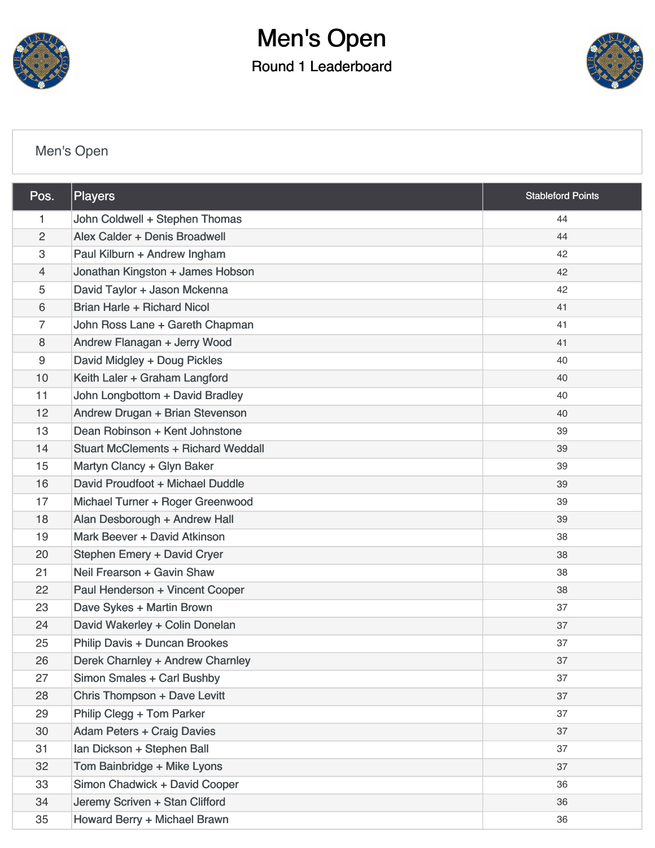

# Men's Open

Round 1 Leaderboard



### [Men's Open](https://static.golfgenius.com/v2tournaments/8424434126135797756?called_from=&round_index=1)

| Pos.           | <b>Players</b>                             | <b>Stableford Points</b> |
|----------------|--------------------------------------------|--------------------------|
| 1              | John Coldwell + Stephen Thomas             | 44                       |
| $\overline{2}$ | Alex Calder + Denis Broadwell              | 44                       |
| 3              | Paul Kilburn + Andrew Ingham               | 42                       |
| 4              | Jonathan Kingston + James Hobson           | 42                       |
| 5              | David Taylor + Jason Mckenna               | 42                       |
| 6              | Brian Harle + Richard Nicol                | 41                       |
| $\overline{7}$ | John Ross Lane + Gareth Chapman            | 41                       |
| 8              | Andrew Flanagan + Jerry Wood               | 41                       |
| 9              | David Midgley + Doug Pickles               | 40                       |
| 10             | Keith Laler + Graham Langford              | 40                       |
| 11             | John Longbottom + David Bradley            | 40                       |
| 12             | Andrew Drugan + Brian Stevenson            | 40                       |
| 13             | Dean Robinson + Kent Johnstone             | 39                       |
| 14             | <b>Stuart McClements + Richard Weddall</b> | 39                       |
| 15             | Martyn Clancy + Glyn Baker                 | 39                       |
| 16             | David Proudfoot + Michael Duddle           | 39                       |
| 17             | Michael Turner + Roger Greenwood           | 39                       |
| 18             | Alan Desborough + Andrew Hall              | 39                       |
| 19             | Mark Beever + David Atkinson               | 38                       |
| 20             | Stephen Emery + David Cryer                | 38                       |
| 21             | Neil Frearson + Gavin Shaw                 | 38                       |
| 22             | Paul Henderson + Vincent Cooper            | 38                       |
| 23             | Dave Sykes + Martin Brown                  | 37                       |
| 24             | David Wakerley + Colin Donelan             | 37                       |
| 25             | <b>Philip Davis + Duncan Brookes</b>       | 37                       |
| 26             | Derek Charnley + Andrew Charnley           | 37                       |
| 27             | Simon Smales + Carl Bushby                 | 37                       |
| 28             | Chris Thompson + Dave Levitt               | 37                       |
| 29             | Philip Clegg + Tom Parker                  | 37                       |
| 30             | <b>Adam Peters + Craig Davies</b>          | 37                       |
| 31             | Ian Dickson + Stephen Ball                 | 37                       |
| 32             | Tom Bainbridge + Mike Lyons                | 37                       |
| 33             | Simon Chadwick + David Cooper              | 36                       |
| 34             | Jeremy Scriven + Stan Clifford             | 36                       |
| 35             | Howard Berry + Michael Brawn               | 36                       |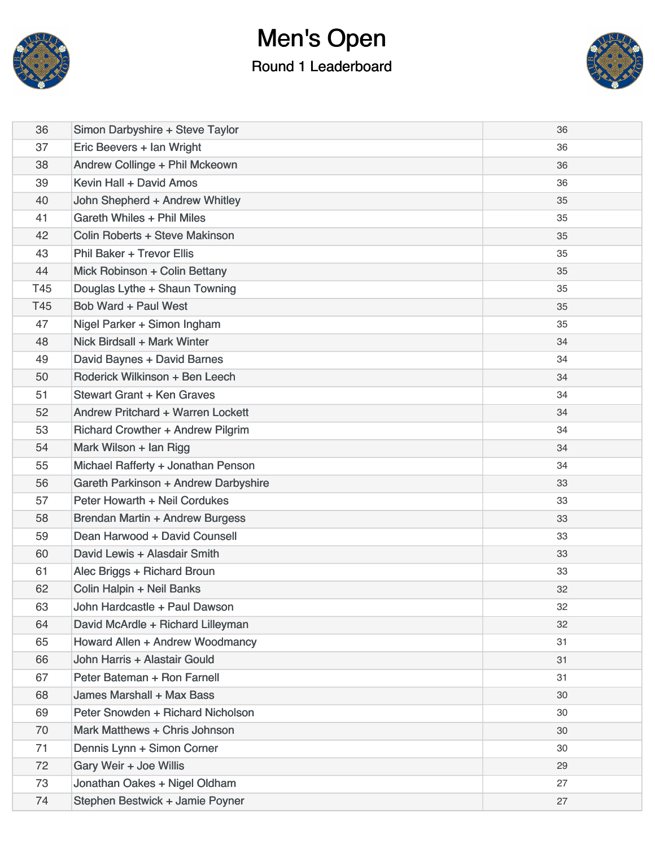

### Men's Open Round 1 Leaderboard



| 36  | Simon Darbyshire + Steve Taylor          | 36 |
|-----|------------------------------------------|----|
| 37  | Eric Beevers + Ian Wright                | 36 |
| 38  | Andrew Collinge + Phil Mckeown           | 36 |
| 39  | Kevin Hall + David Amos                  | 36 |
| 40  | John Shepherd + Andrew Whitley           | 35 |
| 41  | Gareth Whiles + Phil Miles               | 35 |
| 42  | Colin Roberts + Steve Makinson           | 35 |
| 43  | <b>Phil Baker + Trevor Ellis</b>         | 35 |
| 44  | Mick Robinson + Colin Bettany            | 35 |
| T45 | Douglas Lythe + Shaun Towning            | 35 |
| T45 | Bob Ward + Paul West                     | 35 |
| 47  | Nigel Parker + Simon Ingham              | 35 |
| 48  | Nick Birdsall + Mark Winter              | 34 |
| 49  | David Baynes + David Barnes              | 34 |
| 50  | Roderick Wilkinson + Ben Leech           | 34 |
| 51  | Stewart Grant + Ken Graves               | 34 |
| 52  | Andrew Pritchard + Warren Lockett        | 34 |
| 53  | <b>Richard Crowther + Andrew Pilgrim</b> | 34 |
| 54  | Mark Wilson + Ian Rigg                   | 34 |
| 55  | Michael Rafferty + Jonathan Penson       | 34 |
| 56  | Gareth Parkinson + Andrew Darbyshire     | 33 |
| 57  | Peter Howarth + Neil Cordukes            | 33 |
| 58  | <b>Brendan Martin + Andrew Burgess</b>   | 33 |
| 59  | Dean Harwood + David Counsell            | 33 |
| 60  | David Lewis + Alasdair Smith             | 33 |
| 61  | Alec Briggs + Richard Broun              | 33 |
| 62  | Colin Halpin + Neil Banks                | 32 |
| 63  | John Hardcastle + Paul Dawson            | 32 |
| 64  | David McArdle + Richard Lilleyman        | 32 |
| 65  | Howard Allen + Andrew Woodmancy          | 31 |
| 66  | John Harris + Alastair Gould             | 31 |
| 67  | Peter Bateman + Ron Farnell              | 31 |
| 68  | James Marshall + Max Bass                | 30 |
| 69  | Peter Snowden + Richard Nicholson        | 30 |
| 70  | Mark Matthews + Chris Johnson            | 30 |
| 71  | Dennis Lynn + Simon Corner               | 30 |
| 72  | Gary Weir + Joe Willis                   | 29 |
| 73  | Jonathan Oakes + Nigel Oldham            | 27 |
| 74  | Stephen Bestwick + Jamie Poyner          | 27 |
|     |                                          |    |